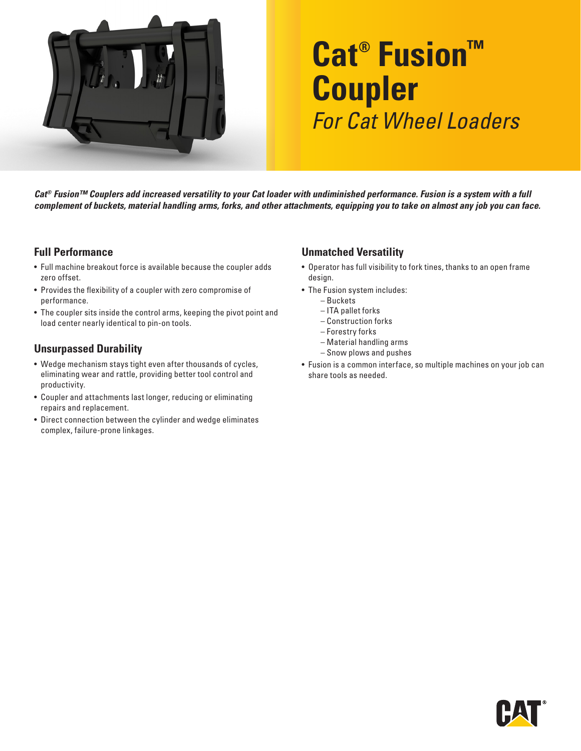

# **Cat® Fusion™ Coupler** *For Cat Wheel Loaders*

*Cat® Fusion™ Couplers add increased versatility to your Cat loader with undiminished performance. Fusion is a system with a full complement of buckets, material handling arms, forks, and other attachments, equipping you to take on almost any job you can face.*

#### **Full Performance**

- Full machine breakout force is available because the coupler adds zero offset.
- Provides the flexibility of a coupler with zero compromise of performance.
- The coupler sits inside the control arms, keeping the pivot point and load center nearly identical to pin-on tools.

### **Unsurpassed Durability**

- Wedge mechanism stays tight even after thousands of cycles, eliminating wear and rattle, providing better tool control and productivity.
- Coupler and attachments last longer, reducing or eliminating repairs and replacement.
- Direct connection between the cylinder and wedge eliminates complex, failure-prone linkages.

### **Unmatched Versatility**

- Operator has full visibility to fork tines, thanks to an open frame design.
- The Fusion system includes:
	- Buckets
	- ITA pallet forks
	- Construction forks
	- Forestry forks
	- Material handling arms
	- Snow plows and pushes
- Fusion is a common interface, so multiple machines on your job can share tools as needed.